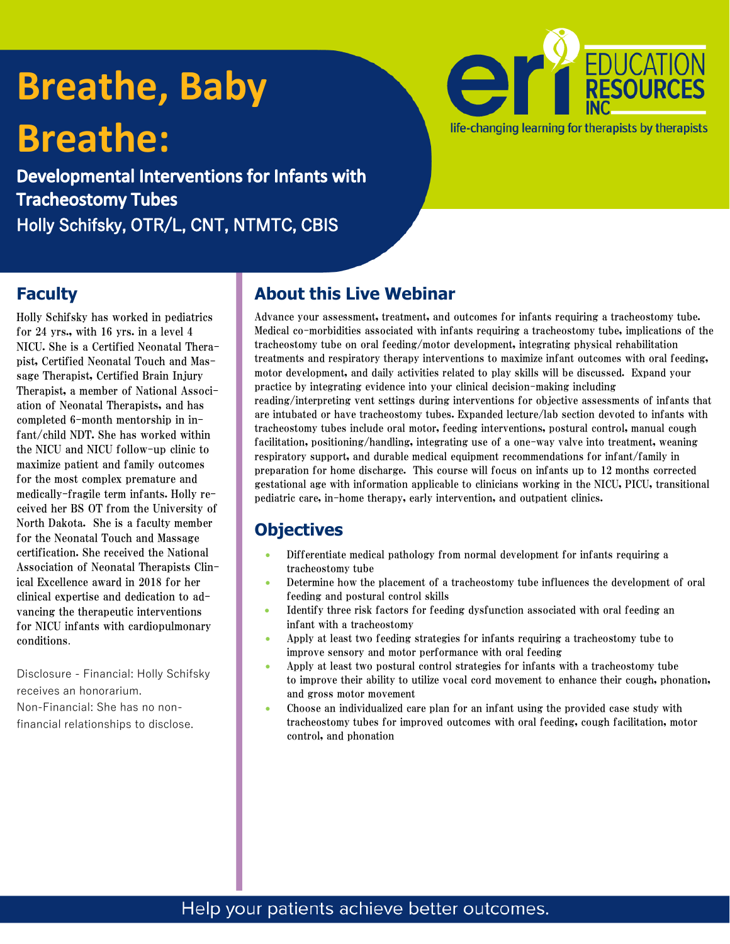# **Breathe, Baby Breathe:**

Developmental Interventions for Infants with **Tracheostomy Tubes** Holly Schifsky, OTR/L, CNT, NTMTC, CBIS



#### **Faculty**

Holly Schifsky has worked in pediatrics for 24 yrs., with 16 yrs. in a level 4 NICU. She is a Certified Neonatal Therapist, Certified Neonatal Touch and Massage Therapist, Certified Brain Injury Therapist, a member of National Association of Neonatal Therapists, and has completed 6-month mentorship in infant/child NDT. She has worked within the NICU and NICU follow-up clinic to maximize patient and family outcomes for the most complex premature and medically-fragile term infants. Holly received her BS OT from the University of North Dakota. She is a faculty member for the Neonatal Touch and Massage certification. She received the National Association of Neonatal Therapists Clinical Excellence award in 2018 for her clinical expertise and dedication to advancing the therapeutic interventions for NICU infants with cardiopulmonary conditions.

Disclosure - Financial: Holly Schifsky receives an honorarium. Non-Financial: She has no nonfinancial relationships to disclose.

#### **About this Live Webinar**

Advance your assessment, treatment, and outcomes for infants requiring a tracheostomy tube. Medical co-morbidities associated with infants requiring a tracheostomy tube, implications of the tracheostomy tube on oral feeding/motor development, integrating physical rehabilitation treatments and respiratory therapy interventions to maximize infant outcomes with oral feeding, motor development, and daily activities related to play skills will be discussed. Expand your practice by integrating evidence into your clinical decision-making including reading/interpreting vent settings during interventions for objective assessments of infants that are intubated or have tracheostomy tubes. Expanded lecture/lab section devoted to infants with tracheostomy tubes include oral motor, feeding interventions, postural control, manual cough facilitation, positioning/handling, integrating use of a one-way valve into treatment, weaning respiratory support, and durable medical equipment recommendations for infant/family in preparation for home discharge. This course will focus on infants up to 12 months corrected gestational age with information applicable to clinicians working in the NICU, PICU, transitional pediatric care, in-home therapy, early intervention, and outpatient clinics.

#### **Objectives**

- Differentiate medical pathology from normal development for infants requiring a tracheostomy tube
- Determine how the placement of a tracheostomy tube influences the development of oral feeding and postural control skills
- Identify three risk factors for feeding dysfunction associated with oral feeding an infant with a tracheostomy
- Apply at least two feeding strategies for infants requiring a tracheostomy tube to improve sensory and motor performance with oral feeding
- Apply at least two postural control strategies for infants with a tracheostomy tube to improve their ability to utilize vocal cord movement to enhance their cough, phonation, and gross motor movement
- Choose an individualized care plan for an infant using the provided case study with tracheostomy tubes for improved outcomes with oral feeding, cough facilitation, motor control, and phonation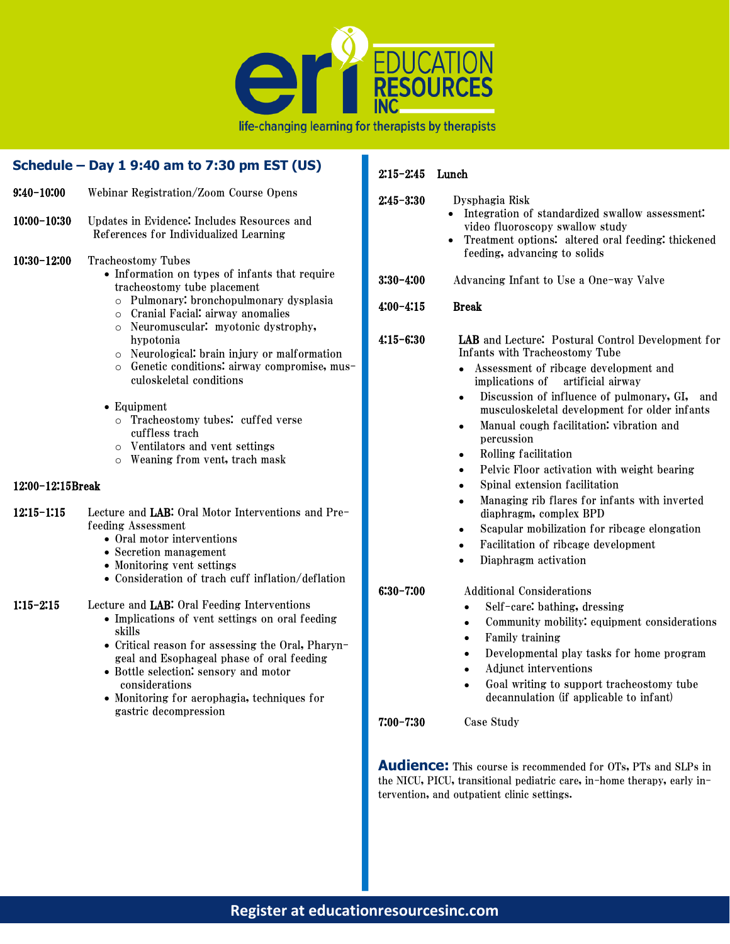

B

|                                 | Schedule - Day 1 9:40 am to 7:30 pm EST (US)                                                                                                                                                                                                                                                                                                                                                                                                                                                                                                                                                     | $2:15 - 2:45$                                 | Lunch                                                                                                                                                                                                                                                                                                                                                                                                                                                           |  |
|---------------------------------|--------------------------------------------------------------------------------------------------------------------------------------------------------------------------------------------------------------------------------------------------------------------------------------------------------------------------------------------------------------------------------------------------------------------------------------------------------------------------------------------------------------------------------------------------------------------------------------------------|-----------------------------------------------|-----------------------------------------------------------------------------------------------------------------------------------------------------------------------------------------------------------------------------------------------------------------------------------------------------------------------------------------------------------------------------------------------------------------------------------------------------------------|--|
| $9:40-10:00$<br>$10:00 - 10:30$ | Webinar Registration/Zoom Course Opens<br>Updates in Evidence: Includes Resources and<br>References for Individualized Learning                                                                                                                                                                                                                                                                                                                                                                                                                                                                  | $2:45 - 3:30$                                 | Dysphagia Risk<br>• Integration of standardized swallow assessment:<br>video fluoroscopy swallow study<br>Treatment options: altered oral feeding: thickened                                                                                                                                                                                                                                                                                                    |  |
| $10:30-12:00$                   | <b>Tracheostomy Tubes</b><br>• Information on types of infants that require<br>tracheostomy tube placement<br>Pulmonary: bronchopulmonary dysplasia<br>$\circ$<br>Cranial Facial: airway anomalies<br>$\circ$<br>Neuromuscular: myotonic dystrophy,<br>$\circ$<br>hypotonia<br>Neurological: brain injury or malformation<br>$\circ$<br>Genetic conditions: airway compromise, mus-<br>$\circ$<br>culoskeletal conditions<br>$\bullet$ Equipment<br>o Tracheostomy tubes: cuffed verse<br>cuffless trach<br>Ventilators and vent settings<br>$\circ$<br>Weaning from vent, trach mask<br>$\circ$ | $3:30-4:00$<br>$4:00 - 4:15$<br>$4:15 - 6:30$ | feeding, advancing to solids<br>Advancing Infant to Use a One-way Valve<br><b>Break</b><br>LAB and Lecture: Postural Control Development for<br>Infants with Tracheostomy Tube<br>• Assessment of ribcage development and<br>implications of artificial airway<br>Discussion of influence of pulmonary, GI, and<br>musculoskeletal development for older infants<br>Manual cough facilitation: vibration and<br>percussion<br>Rolling facilitation<br>$\bullet$ |  |
| 12:00-12:15Break                |                                                                                                                                                                                                                                                                                                                                                                                                                                                                                                                                                                                                  |                                               | Pelvic Floor activation with weight bearing<br>Spinal extension facilitation                                                                                                                                                                                                                                                                                                                                                                                    |  |
| $12:15 - 1:15$                  | Lecture and LAB: Oral Motor Interventions and Pre-<br>feeding Assessment<br>• Oral motor interventions<br>• Secretion management<br>• Monitoring vent settings<br>• Consideration of trach cuff inflation/deflation                                                                                                                                                                                                                                                                                                                                                                              | $6:30 - 7:00$                                 | Managing rib flares for infants with inverted<br>diaphragm, complex BPD<br>Scapular mobilization for ribcage elongation<br>Facilitation of ribcage development<br>$\bullet$<br>Diaphragm activation                                                                                                                                                                                                                                                             |  |
| $1:15 - 2:15$                   | Lecture and LAB: Oral Feeding Interventions<br>• Implications of vent settings on oral feeding<br>skills<br>• Critical reason for assessing the Oral, Pharyn-<br>geal and Esophageal phase of oral feeding<br>• Bottle selection: sensory and motor<br>considerations<br>• Monitoring for aerophagia, techniques for<br>gastric decompression                                                                                                                                                                                                                                                    | $7:00 - 7:30$                                 | <b>Additional Considerations</b><br>Self-care: bathing, dressing<br>Community mobility: equipment considerations<br>Family training<br>Developmental play tasks for home program<br>$\bullet$<br>Adjunct interventions<br>Goal writing to support tracheostomy tube<br>decannulation (if applicable to infant)<br>Case Study                                                                                                                                    |  |

**Audience:** This course is recommended for OTs, PTs and SLPs in the NICU, PICU, transitional pediatric care, in-home therapy, early in-

tervention, and outpatient clinic settings.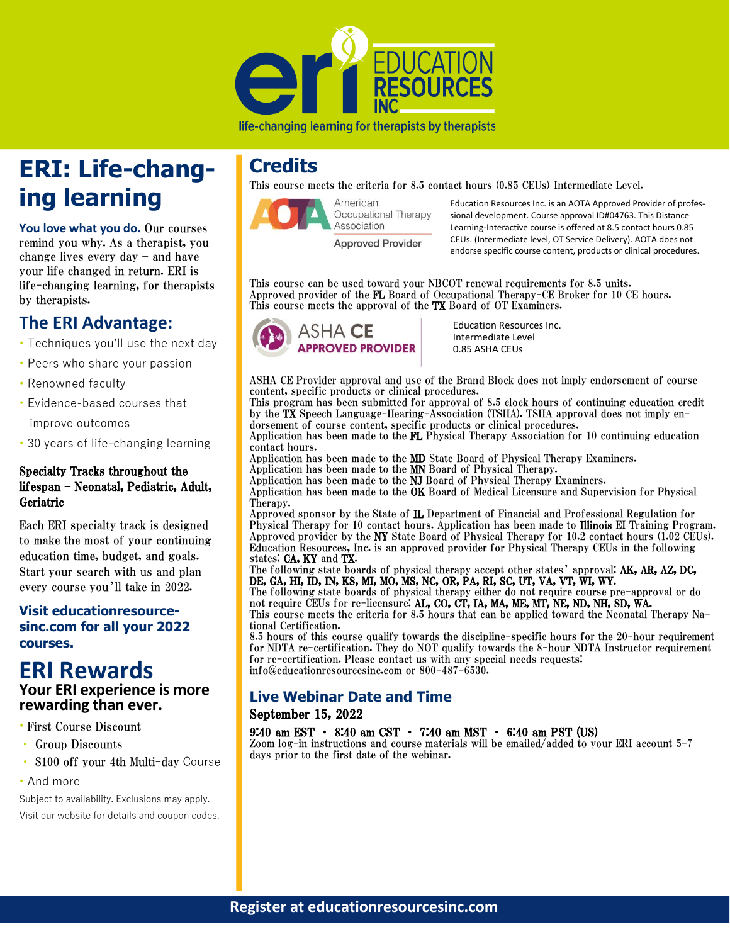

## **ERI: Life-changing learning**

**You love what you do.** Our courses remind you why. As a therapist, you change lives every day – and have your life changed in return. ERI is life-changing learning, for therapists by therapists.

#### **The ERI Advantage:**

- Techniques you'll use the next day
- Peers who share your passion
- Renowned faculty
- Evidence-based courses that improve outcomes
- 30 years of life-changing learning

#### Specialty Tracks throughout the lifespan – Neonatal, Pediatric, Adult, Geriatric

Each ERI specialty track is designed to make the most of your continuing education time, budget, and goals. Start your search with us and plan every course you'll take in 2022.

#### **Visit educationresourcesinc.com for all your 2022 courses.**

#### **ERI Rewards Your ERI experience is more rewarding than ever.**

#### • First Course Discount

- Group Discounts
- \$100 off your 4th Multi-day Course
- And more

Subject to availability. Exclusions may apply. Visit our website for details and coupon codes.

### **Credits**

This course meets the criteria for 8.5 contact hours (0.85 CEUs) Intermediate Level.



Education Resources Inc. is an AOTA Approved Provider of professional development. Course approval ID#04763. This Distance Learning-Interactive course is offered at 8.5 contact hours 0.85 CEUs. (Intermediate level, OT Service Delivery). AOTA does not endorse specific course content, products or clinical procedures.

This course can be used toward your NBCOT renewal requirements for 8.5 units. Approved provider of the FL Board of Occupational Therapy-CE Broker for 10 CE hours. This course meets the approval of the TX Board of OT Examiners.



Education Resources Inc. Intermediate Level 0.85 ASHA CEUs

ASHA CE Provider approval and use of the Brand Block does not imply endorsement of course content, specific products or clinical procedures.

This program has been submitted for approval of 8.5 clock hours of continuing education credit by the TX Speech Language-Hearing-Association (TSHA). TSHA approval does not imply endorsement of course content, specific products or clinical procedures.

Application has been made to the FL Physical Therapy Association for 10 continuing education contact hours.

Application has been made to the **MD** State Board of Physical Therapy Examiners. Application has been made to the MN Board of Physical Therapy.

Application has been made to the NJ Board of Physical Therapy Examiners.

Application has been made to the OK Board of Medical Licensure and Supervision for Physical Therapy.

Approved sponsor by the State of IL Department of Financial and Professional Regulation for Physical Therapy for 10 contact hours. Application has been made to Illinois EI Training Program. Approved provider by the NY State Board of Physical Therapy for 10.2 contact hours (1.02 CEUs). Education Resources, Inc. is an approved provider for Physical Therapy CEUs in the following states: CA, KY and TX.

The following state boards of physical therapy accept other states' approval: AK, AR, AZ, DC, DE, GA, HI, ID, IN, KS, MI, MO, MS, NC, OR, PA, RI, SC, UT, VA, VT, WI, WY.

The following state boards of physical therapy either do not require course pre-approval or do not require CEUs for re-licensure: AL, CO, CT, IA, MA, ME, MT, NE, ND, NH, SD, WA.

This course meets the criteria for 8.5 hours that can be applied toward the Neonatal Therapy National Certification.

8.5 hours of this course qualify towards the discipline-specific hours for the 20-hour requirement for NDTA re-certification. They do NOT qualify towards the 8-hour NDTA Instructor requirement for re-certification. Please contact us with any special needs requests: info@educationresourcesinc.com or 800-487-6530.

#### **Live Webinar Date and Time**

#### September 15, 2022

#### 9:40 am EST • 8:40 am CST • 7:40 am MST • 6:40 am PST (US)

Zoom log-in instructions and course materials will be emailed/added to your ERI account 5-7 days prior to the first date of the webinar.